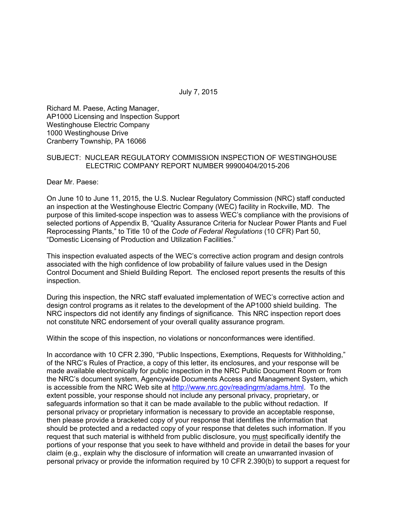July 7, 2015

Richard M. Paese, Acting Manager, AP1000 Licensing and Inspection Support Westinghouse Electric Company 1000 Westinghouse Drive Cranberry Township, PA 16066

### SUBJECT: NUCLEAR REGULATORY COMMISSION INSPECTION OF WESTINGHOUSE ELECTRIC COMPANY REPORT NUMBER 99900404/2015-206

Dear Mr. Paese:

On June 10 to June 11, 2015, the U.S. Nuclear Regulatory Commission (NRC) staff conducted an inspection at the Westinghouse Electric Company (WEC) facility in Rockville, MD. The purpose of this limited-scope inspection was to assess WEC's compliance with the provisions of selected portions of Appendix B, "Quality Assurance Criteria for Nuclear Power Plants and Fuel Reprocessing Plants," to Title 10 of the *Code of Federal Regulations* (10 CFR) Part 50, "Domestic Licensing of Production and Utilization Facilities."

This inspection evaluated aspects of the WEC's corrective action program and design controls associated with the high confidence of low probability of failure values used in the Design Control Document and Shield Building Report. The enclosed report presents the results of this inspection.

During this inspection, the NRC staff evaluated implementation of WEC's corrective action and design control programs as it relates to the development of the AP1000 shield building. The NRC inspectors did not identify any findings of significance. This NRC inspection report does not constitute NRC endorsement of your overall quality assurance program.

Within the scope of this inspection, no violations or nonconformances were identified.

In accordance with 10 CFR 2.390, "Public Inspections, Exemptions, Requests for Withholding," of the NRC's Rules of Practice, a copy of this letter, its enclosures, and your response will be made available electronically for public inspection in the NRC Public Document Room or from the NRC's document system, Agencywide Documents Access and Management System, which is accessible from the NRC Web site at http://www.nrc.gov/readingrm/adams.html. To the extent possible, your response should not include any personal privacy, proprietary, or safeguards information so that it can be made available to the public without redaction. If personal privacy or proprietary information is necessary to provide an acceptable response, then please provide a bracketed copy of your response that identifies the information that should be protected and a redacted copy of your response that deletes such information. If you request that such material is withheld from public disclosure, you must specifically identify the portions of your response that you seek to have withheld and provide in detail the bases for your claim (e.g., explain why the disclosure of information will create an unwarranted invasion of personal privacy or provide the information required by 10 CFR 2.390(b) to support a request for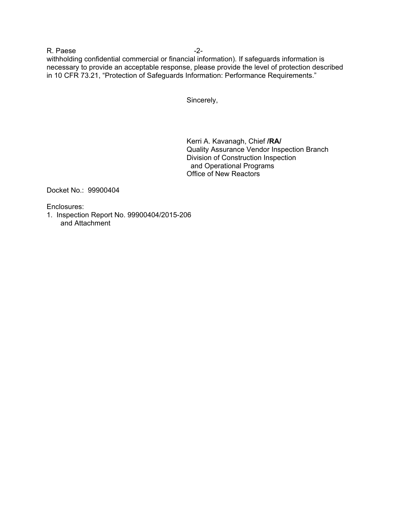R. Paese -2-

withholding confidential commercial or financial information). If safeguards information is necessary to provide an acceptable response, please provide the level of protection described in 10 CFR 73.21, "Protection of Safeguards Information: Performance Requirements."

Sincerely,

Kerri A. Kavanagh, Chief **/RA/**  Quality Assurance Vendor Inspection Branch Division of Construction Inspection and Operational Programs Office of New Reactors

Docket No.: 99900404

Enclosures:

1. Inspection Report No. 99900404/2015-206 and Attachment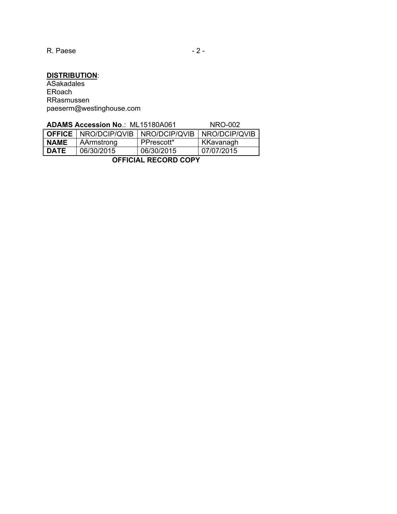R. Paese - 2 -

#### **DISTRIBUTION**:

ASakadales ERoach RRasmussen paeserm@westinghouse.com

| <b>ADAMS Accession No.: ML15180A061</b> |  | <b>NRO-002</b> |
|-----------------------------------------|--|----------------|
|-----------------------------------------|--|----------------|

|             | <b>OFFICE</b>   NRO/DCIP/QVIB   NRO/DCIP/QVIB |            | NRO/DCIP/QVIB |
|-------------|-----------------------------------------------|------------|---------------|
| <b>NAME</b> | AArmstrong                                    | PPrescott* | KKavanagh     |
| DATE        | 06/30/2015                                    | 06/30/2015 | 07/07/2015    |
|             |                                               |            |               |

 **OFFICIAL RECORD COPY**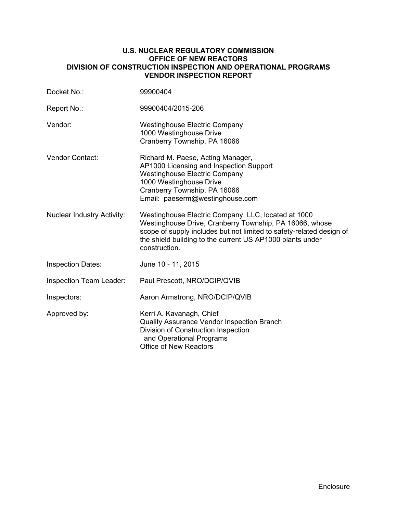### **U.S. NUCLEAR REGULATORY COMMISSION OFFICE OF NEW REACTORS DIVISION OF CONSTRUCTION INSPECTION AND OPERATIONAL PROGRAMS VENDOR INSPECTION REPORT**

| Docket No.:                       | 99900404                                                                                                                                                                                                                                                             |
|-----------------------------------|----------------------------------------------------------------------------------------------------------------------------------------------------------------------------------------------------------------------------------------------------------------------|
| Report No.:                       | 99900404/2015-206                                                                                                                                                                                                                                                    |
| Vendor:                           | <b>Westinghouse Electric Company</b><br>1000 Westinghouse Drive<br>Cranberry Township, PA 16066                                                                                                                                                                      |
| <b>Vendor Contact:</b>            | Richard M. Paese, Acting Manager,<br>AP1000 Licensing and Inspection Support<br><b>Westinghouse Electric Company</b><br>1000 Westinghouse Drive<br>Cranberry Township, PA 16066<br>Email: paeserm@westinghouse.com                                                   |
| <b>Nuclear Industry Activity:</b> | Westinghouse Electric Company, LLC, located at 1000<br>Westinghouse Drive, Cranberry Township, PA 16066, whose<br>scope of supply includes but not limited to safety-related design of<br>the shield building to the current US AP1000 plants under<br>construction. |
| <b>Inspection Dates:</b>          | June 10 - 11, 2015                                                                                                                                                                                                                                                   |
| <b>Inspection Team Leader:</b>    | Paul Prescott, NRO/DCIP/QVIB                                                                                                                                                                                                                                         |
| Inspectors:                       | Aaron Armstrong, NRO/DCIP/QVIB                                                                                                                                                                                                                                       |
| Approved by:                      | Kerri A. Kavanagh, Chief<br>Quality Assurance Vendor Inspection Branch<br>Division of Construction Inspection<br>and Operational Programs<br><b>Office of New Reactors</b>                                                                                           |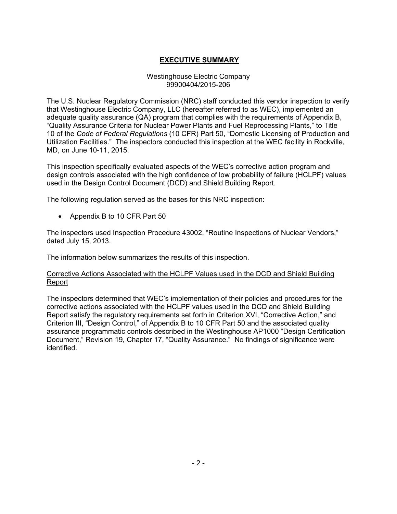# **EXECUTIVE SUMMARY**

# Westinghouse Electric Company 99900404/2015-206

The U.S. Nuclear Regulatory Commission (NRC) staff conducted this vendor inspection to verify that Westinghouse Electric Company, LLC (hereafter referred to as WEC), implemented an adequate quality assurance (QA) program that complies with the requirements of Appendix B, "Quality Assurance Criteria for Nuclear Power Plants and Fuel Reprocessing Plants," to Title 10 of the *Code of Federal Regulations* (10 CFR) Part 50, "Domestic Licensing of Production and Utilization Facilities." The inspectors conducted this inspection at the WEC facility in Rockville, MD, on June 10-11, 2015.

This inspection specifically evaluated aspects of the WEC's corrective action program and design controls associated with the high confidence of low probability of failure (HCLPF) values used in the Design Control Document (DCD) and Shield Building Report.

The following regulation served as the bases for this NRC inspection:

• Appendix B to 10 CFR Part 50

The inspectors used Inspection Procedure 43002, "Routine Inspections of Nuclear Vendors," dated July 15, 2013.

The information below summarizes the results of this inspection.

### Corrective Actions Associated with the HCLPF Values used in the DCD and Shield Building Report

The inspectors determined that WEC's implementation of their policies and procedures for the corrective actions associated with the HCLPF values used in the DCD and Shield Building Report satisfy the regulatory requirements set forth in Criterion XVI, "Corrective Action," and Criterion III, "Design Control," of Appendix B to 10 CFR Part 50 and the associated quality assurance programmatic controls described in the Westinghouse AP1000 "Design Certification Document," Revision 19, Chapter 17, "Quality Assurance." No findings of significance were identified.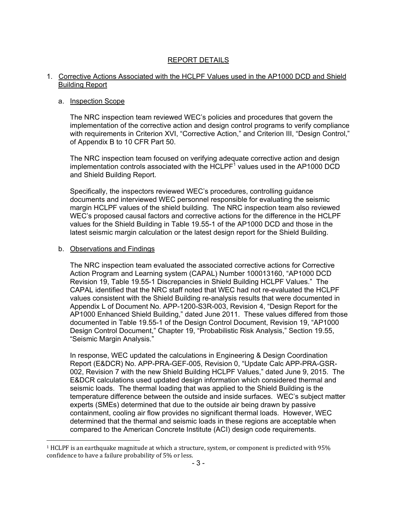# REPORT DETAILS

### 1. Corrective Actions Associated with the HCLPF Values used in the AP1000 DCD and Shield Building Report

### a. Inspection Scope

The NRC inspection team reviewed WEC's policies and procedures that govern the implementation of the corrective action and design control programs to verify compliance with requirements in Criterion XVI, "Corrective Action," and Criterion III, "Design Control," of Appendix B to 10 CFR Part 50.

The NRC inspection team focused on verifying adequate corrective action and design implementation controls associated with the HCLPF<sup>1</sup> values used in the AP1000 DCD and Shield Building Report.

Specifically, the inspectors reviewed WEC's procedures, controlling guidance documents and interviewed WEC personnel responsible for evaluating the seismic margin HCLPF values of the shield building. The NRC inspection team also reviewed WEC's proposed causal factors and corrective actions for the difference in the HCLPF values for the Shield Building in Table 19.55-1 of the AP1000 DCD and those in the latest seismic margin calculation or the latest design report for the Shield Building.

### b. Observations and Findings

 $\overline{a}$ 

The NRC inspection team evaluated the associated corrective actions for Corrective Action Program and Learning system (CAPAL) Number 100013160, "AP1000 DCD Revision 19, Table 19.55-1 Discrepancies in Shield Building HCLPF Values." The CAPAL identified that the NRC staff noted that WEC had not re-evaluated the HCLPF values consistent with the Shield Building re-analysis results that were documented in Appendix L of Document No. APP-1200-S3R-003, Revision 4, "Design Report for the AP1000 Enhanced Shield Building," dated June 2011. These values differed from those documented in Table 19.55-1 of the Design Control Document, Revision 19, "AP1000 Design Control Document," Chapter 19, "Probabilistic Risk Analysis," Section 19.55, "Seismic Margin Analysis."

In response, WEC updated the calculations in Engineering & Design Coordination Report (E&DCR) No. APP-PRA-GEF-005, Revision 0, "Update Calc APP-PRA-GSR-002, Revision 7 with the new Shield Building HCLPF Values," dated June 9, 2015. The E&DCR calculations used updated design information which considered thermal and seismic loads. The thermal loading that was applied to the Shield Building is the temperature difference between the outside and inside surfaces. WEC's subject matter experts (SMEs) determined that due to the outside air being drawn by passive containment, cooling air flow provides no significant thermal loads. However, WEC determined that the thermal and seismic loads in these regions are acceptable when compared to the American Concrete Institute (ACI) design code requirements.

 $1$  HCLPF is an earthquake magnitude at which a structure, system, or component is predicted with 95% confidence to have a failure probability of 5% or less.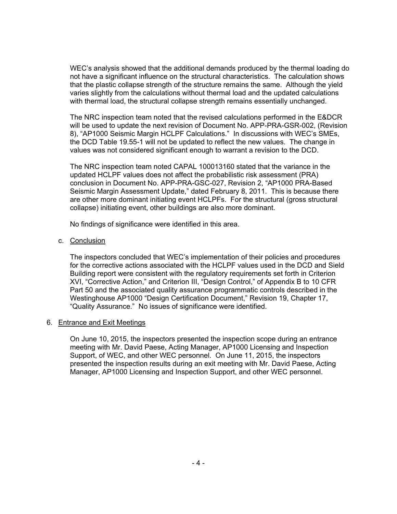WEC's analysis showed that the additional demands produced by the thermal loading do not have a significant influence on the structural characteristics. The calculation shows that the plastic collapse strength of the structure remains the same. Although the yield varies slightly from the calculations without thermal load and the updated calculations with thermal load, the structural collapse strength remains essentially unchanged.

The NRC inspection team noted that the revised calculations performed in the E&DCR will be used to update the next revision of Document No. APP-PRA-GSR-002, (Revision 8), "AP1000 Seismic Margin HCLPF Calculations." In discussions with WEC's SMEs, the DCD Table 19.55-1 will not be updated to reflect the new values. The change in values was not considered significant enough to warrant a revision to the DCD.

The NRC inspection team noted CAPAL 100013160 stated that the variance in the updated HCLPF values does not affect the probabilistic risk assessment (PRA) conclusion in Document No. APP-PRA-GSC-027, Revision 2, "AP1000 PRA-Based Seismic Margin Assessment Update," dated February 8, 2011. This is because there are other more dominant initiating event HCLPFs. For the structural (gross structural collapse) initiating event, other buildings are also more dominant.

No findings of significance were identified in this area.

### c. Conclusion

The inspectors concluded that WEC's implementation of their policies and procedures for the corrective actions associated with the HCLPF values used in the DCD and Sield Building report were consistent with the regulatory requirements set forth in Criterion XVI, "Corrective Action," and Criterion III, "Design Control," of Appendix B to 10 CFR Part 50 and the associated quality assurance programmatic controls described in the Westinghouse AP1000 "Design Certification Document," Revision 19, Chapter 17, "Quality Assurance." No issues of significance were identified.

### 6. Entrance and Exit Meetings

On June 10, 2015, the inspectors presented the inspection scope during an entrance meeting with Mr. David Paese, Acting Manager, AP1000 Licensing and Inspection Support, of WEC, and other WEC personnel. On June 11, 2015, the inspectors presented the inspection results during an exit meeting with Mr. David Paese, Acting Manager, AP1000 Licensing and Inspection Support, and other WEC personnel.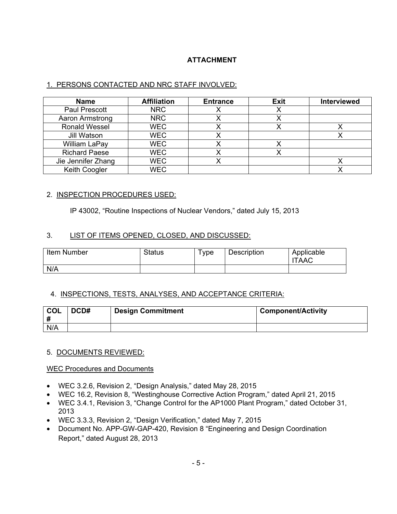# **ATTACHMENT**

# 1. PERSONS CONTACTED AND NRC STAFF INVOLVED:

| <b>Name</b>          | <b>Affiliation</b> | <b>Entrance</b> | Exit | <b>Interviewed</b> |
|----------------------|--------------------|-----------------|------|--------------------|
| <b>Paul Prescott</b> | <b>NRC</b>         |                 |      |                    |
| Aaron Armstrong      | <b>NRC</b>         |                 |      |                    |
| <b>Ronald Wessel</b> | <b>WEC</b>         |                 |      |                    |
| Jill Watson          | <b>WEC</b>         |                 |      |                    |
| William LaPay        | <b>WEC</b>         |                 |      |                    |
| <b>Richard Paese</b> | <b>WEC</b>         |                 |      |                    |
| Jie Jennifer Zhang   | <b>WEC</b>         |                 |      |                    |
| Keith Coogler        | <b>WEC</b>         |                 |      |                    |

### 2. INSPECTION PROCEDURES USED:

IP 43002, "Routine Inspections of Nuclear Vendors," dated July 15, 2013

### 3. LIST OF ITEMS OPENED, CLOSED, AND DISCUSSED:

| Item Number | <b>Status</b> | Type | Description | Applicable<br><b>ITAAC</b> |
|-------------|---------------|------|-------------|----------------------------|
| N/A         |               |      |             |                            |

# 4. INSPECTIONS, TESTS, ANALYSES, AND ACCEPTANCE CRITERIA:

| <b>COL</b> | DCD# | <b>Design Commitment</b> | <b>Component/Activity</b> |
|------------|------|--------------------------|---------------------------|
| N/A        |      |                          |                           |

# 5. DOCUMENTS REVIEWED:

#### WEC Procedures and Documents

- WEC 3.2.6, Revision 2, "Design Analysis," dated May 28, 2015
- WEC 16.2, Revision 8, "Westinghouse Corrective Action Program," dated April 21, 2015
- WEC 3.4.1, Revision 3, "Change Control for the AP1000 Plant Program," dated October 31, 2013
- WEC 3.3.3, Revision 2, "Design Verification," dated May 7, 2015
- Document No. APP-GW-GAP-420, Revision 8 "Engineering and Design Coordination Report," dated August 28, 2013